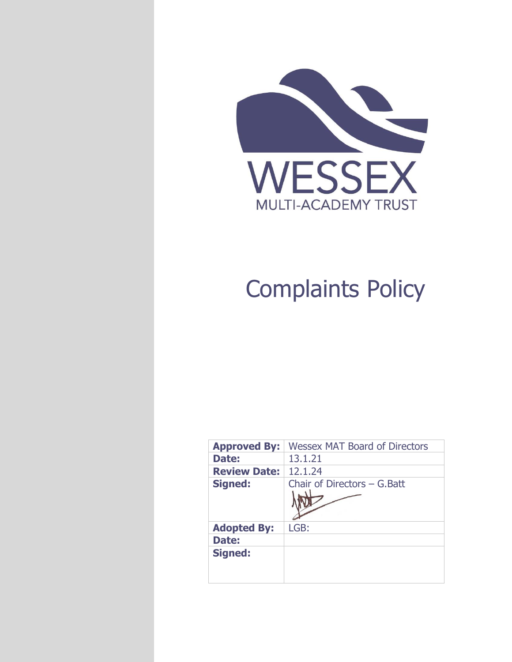

# Complaints Policy

| <b>Approved By:</b> | <b>Wessex MAT Board of Directors</b> |  |
|---------------------|--------------------------------------|--|
| Date:               | 13.1.21                              |  |
| <b>Review Date:</b> | 12.1.24                              |  |
| <b>Signed:</b>      | Chair of Directors - G. Batt         |  |
|                     |                                      |  |
| <b>Adopted By:</b>  | LGB:                                 |  |
| Date:               |                                      |  |
| <b>Signed:</b>      |                                      |  |
|                     |                                      |  |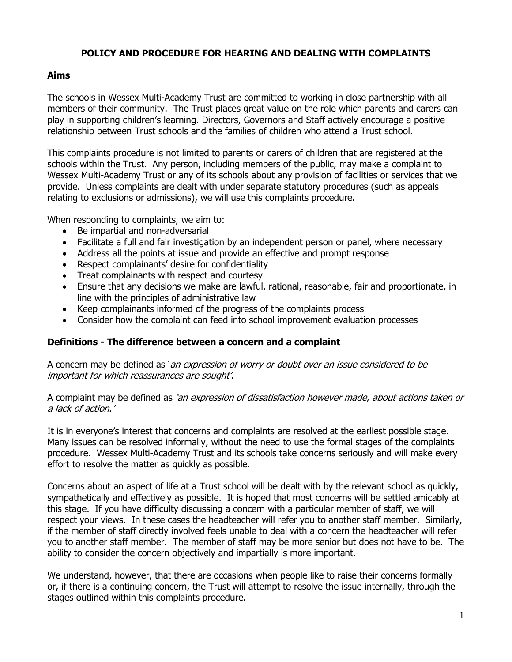### **POLICY AND PROCEDURE FOR HEARING AND DEALING WITH COMPLAINTS**

## **Aims**

The schools in Wessex Multi-Academy Trust are committed to working in close partnership with all members of their community. The Trust places great value on the role which parents and carers can play in supporting children's learning. Directors, Governors and Staff actively encourage a positive relationship between Trust schools and the families of children who attend a Trust school.

This complaints procedure is not limited to parents or carers of children that are registered at the schools within the Trust. Any person, including members of the public, may make a complaint to Wessex Multi-Academy Trust or any of its schools about any provision of facilities or services that we provide. Unless complaints are dealt with under separate statutory procedures (such as appeals relating to exclusions or admissions), we will use this complaints procedure.

When responding to complaints, we aim to:

- Be impartial and non-adversarial
- Facilitate a full and fair investigation by an independent person or panel, where necessary
- Address all the points at issue and provide an effective and prompt response
- Respect complainants' desire for confidentiality
- Treat complainants with respect and courtesy
- Ensure that any decisions we make are lawful, rational, reasonable, fair and proportionate, in line with the principles of administrative law
- Keep complainants informed of the progress of the complaints process
- Consider how the complaint can feed into school improvement evaluation processes

#### **Definitions - The difference between a concern and a complaint**

A concern may be defined as 'an expression of worry or doubt over an issue considered to be important for which reassurances are sought'.

A complaint may be defined as 'an expression of dissatisfaction however made, about actions taken or a lack of action.'

It is in everyone's interest that concerns and complaints are resolved at the earliest possible stage. Many issues can be resolved informally, without the need to use the formal stages of the complaints procedure. Wessex Multi-Academy Trust and its schools take concerns seriously and will make every effort to resolve the matter as quickly as possible.

Concerns about an aspect of life at a Trust school will be dealt with by the relevant school as quickly, sympathetically and effectively as possible. It is hoped that most concerns will be settled amicably at this stage. If you have difficulty discussing a concern with a particular member of staff, we will respect your views. In these cases the headteacher will refer you to another staff member. Similarly, if the member of staff directly involved feels unable to deal with a concern the headteacher will refer you to another staff member. The member of staff may be more senior but does not have to be. The ability to consider the concern objectively and impartially is more important.

We understand, however, that there are occasions when people like to raise their concerns formally or, if there is a continuing concern, the Trust will attempt to resolve the issue internally, through the stages outlined within this complaints procedure.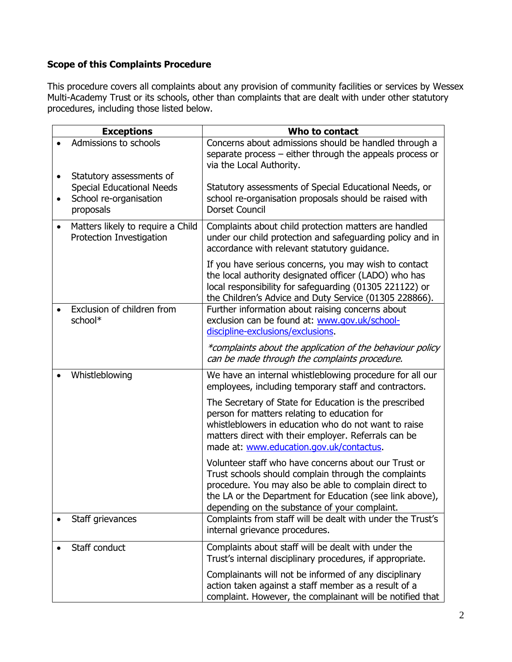# **Scope of this Complaints Procedure**

This procedure covers all complaints about any provision of community facilities or services by Wessex Multi-Academy Trust or its schools, other than complaints that are dealt with under other statutory procedures, including those listed below.

| <b>Exceptions</b>                                                                                                | Who to contact                                                                                                                                                                                                                                                                                                                                                                |
|------------------------------------------------------------------------------------------------------------------|-------------------------------------------------------------------------------------------------------------------------------------------------------------------------------------------------------------------------------------------------------------------------------------------------------------------------------------------------------------------------------|
| Admissions to schools                                                                                            | Concerns about admissions should be handled through a<br>separate process - either through the appeals process or<br>via the Local Authority.                                                                                                                                                                                                                                 |
| Statutory assessments of<br>$\bullet$<br><b>Special Educational Needs</b><br>School re-organisation<br>proposals | Statutory assessments of Special Educational Needs, or<br>school re-organisation proposals should be raised with<br>Dorset Council                                                                                                                                                                                                                                            |
| Matters likely to require a Child<br>$\bullet$<br>Protection Investigation                                       | Complaints about child protection matters are handled<br>under our child protection and safeguarding policy and in<br>accordance with relevant statutory guidance.                                                                                                                                                                                                            |
| Exclusion of children from<br>school*                                                                            | If you have serious concerns, you may wish to contact<br>the local authority designated officer (LADO) who has<br>local responsibility for safeguarding (01305 221122) or<br>the Children's Advice and Duty Service (01305 228866).<br>Further information about raising concerns about<br>exclusion can be found at: www.gov.uk/school-<br>discipline-exclusions/exclusions. |
|                                                                                                                  | *complaints about the application of the behaviour policy<br>can be made through the complaints procedure.                                                                                                                                                                                                                                                                    |
| Whistleblowing                                                                                                   | We have an internal whistleblowing procedure for all our<br>employees, including temporary staff and contractors.                                                                                                                                                                                                                                                             |
|                                                                                                                  | The Secretary of State for Education is the prescribed<br>person for matters relating to education for<br>whistleblowers in education who do not want to raise<br>matters direct with their employer. Referrals can be<br>made at: www.education.gov.uk/contactus.                                                                                                            |
| Staff grievances                                                                                                 | Volunteer staff who have concerns about our Trust or<br>Trust schools should complain through the complaints<br>procedure. You may also be able to complain direct to<br>the LA or the Department for Education (see link above),<br>depending on the substance of your complaint.<br>Complaints from staff will be dealt with under the Trust's                              |
|                                                                                                                  | internal grievance procedures.                                                                                                                                                                                                                                                                                                                                                |
| Staff conduct                                                                                                    | Complaints about staff will be dealt with under the<br>Trust's internal disciplinary procedures, if appropriate.                                                                                                                                                                                                                                                              |
|                                                                                                                  | Complainants will not be informed of any disciplinary<br>action taken against a staff member as a result of a<br>complaint. However, the complainant will be notified that                                                                                                                                                                                                    |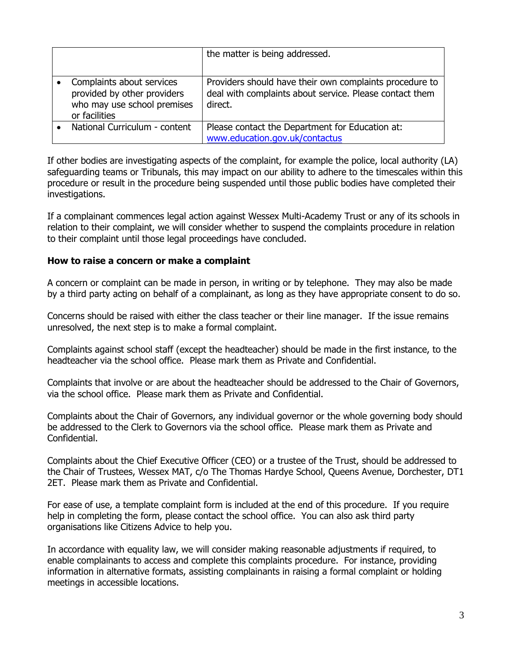|                                                                                                          | the matter is being addressed.                                                                                                |
|----------------------------------------------------------------------------------------------------------|-------------------------------------------------------------------------------------------------------------------------------|
| Complaints about services<br>provided by other providers<br>who may use school premises<br>or facilities | Providers should have their own complaints procedure to<br>deal with complaints about service. Please contact them<br>direct. |
| National Curriculum - content                                                                            | Please contact the Department for Education at:<br>www.education.gov.uk/contactus                                             |

If other bodies are investigating aspects of the complaint, for example the police, local authority (LA) safeguarding teams or Tribunals, this may impact on our ability to adhere to the timescales within this procedure or result in the procedure being suspended until those public bodies have completed their investigations.

If a complainant commences legal action against Wessex Multi-Academy Trust or any of its schools in relation to their complaint, we will consider whether to suspend the complaints procedure in relation to their complaint until those legal proceedings have concluded.

#### **How to raise a concern or make a complaint**

A concern or complaint can be made in person, in writing or by telephone. They may also be made by a third party acting on behalf of a complainant, as long as they have appropriate consent to do so.

Concerns should be raised with either the class teacher or their line manager. If the issue remains unresolved, the next step is to make a formal complaint.

Complaints against school staff (except the headteacher) should be made in the first instance, to the headteacher via the school office. Please mark them as Private and Confidential.

Complaints that involve or are about the headteacher should be addressed to the Chair of Governors, via the school office. Please mark them as Private and Confidential.

Complaints about the Chair of Governors, any individual governor or the whole governing body should be addressed to the Clerk to Governors via the school office. Please mark them as Private and Confidential.

Complaints about the Chief Executive Officer (CEO) or a trustee of the Trust, should be addressed to the Chair of Trustees, Wessex MAT, c/o The Thomas Hardye School, Queens Avenue, Dorchester, DT1 2ET. Please mark them as Private and Confidential.

For ease of use, a template complaint form is included at the end of this procedure. If you require help in completing the form, please contact the school office. You can also ask third party organisations like Citizens Advice to help you.

In accordance with equality law, we will consider making reasonable adjustments if required, to enable complainants to access and complete this complaints procedure. For instance, providing information in alternative formats, assisting complainants in raising a formal complaint or holding meetings in accessible locations.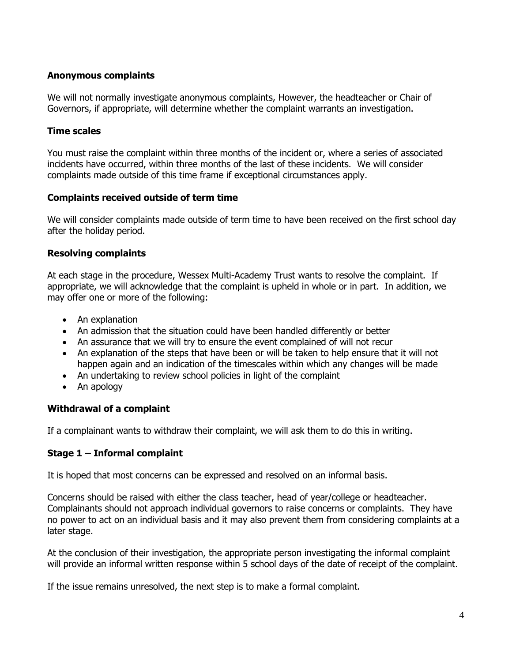#### **Anonymous complaints**

We will not normally investigate anonymous complaints, However, the headteacher or Chair of Governors, if appropriate, will determine whether the complaint warrants an investigation.

#### **Time scales**

You must raise the complaint within three months of the incident or, where a series of associated incidents have occurred, within three months of the last of these incidents. We will consider complaints made outside of this time frame if exceptional circumstances apply.

#### **Complaints received outside of term time**

We will consider complaints made outside of term time to have been received on the first school day after the holiday period.

#### **Resolving complaints**

At each stage in the procedure, Wessex Multi-Academy Trust wants to resolve the complaint. If appropriate, we will acknowledge that the complaint is upheld in whole or in part. In addition, we may offer one or more of the following:

- An explanation
- An admission that the situation could have been handled differently or better
- An assurance that we will try to ensure the event complained of will not recur
- An explanation of the steps that have been or will be taken to help ensure that it will not happen again and an indication of the timescales within which any changes will be made
- An undertaking to review school policies in light of the complaint
- An apology

#### **Withdrawal of a complaint**

If a complainant wants to withdraw their complaint, we will ask them to do this in writing.

#### **Stage 1 – Informal complaint**

It is hoped that most concerns can be expressed and resolved on an informal basis.

Concerns should be raised with either the class teacher, head of year/college or headteacher. Complainants should not approach individual governors to raise concerns or complaints. They have no power to act on an individual basis and it may also prevent them from considering complaints at a later stage.

At the conclusion of their investigation, the appropriate person investigating the informal complaint will provide an informal written response within 5 school days of the date of receipt of the complaint.

If the issue remains unresolved, the next step is to make a formal complaint.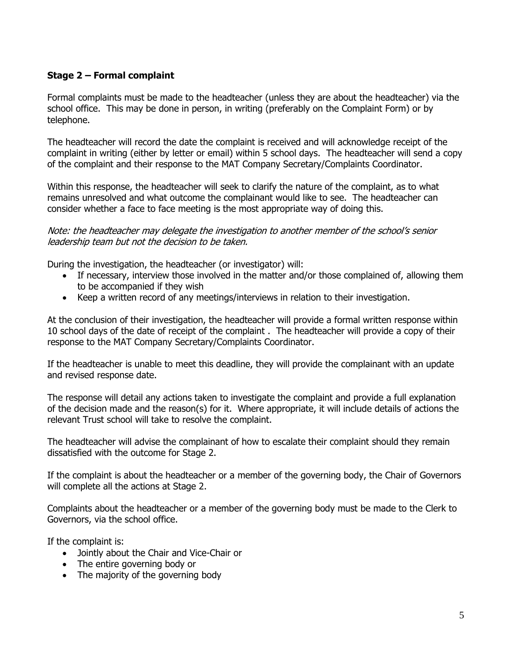### **Stage 2 – Formal complaint**

Formal complaints must be made to the headteacher (unless they are about the headteacher) via the school office. This may be done in person, in writing (preferably on the Complaint Form) or by telephone.

The headteacher will record the date the complaint is received and will acknowledge receipt of the complaint in writing (either by letter or email) within 5 school days. The headteacher will send a copy of the complaint and their response to the MAT Company Secretary/Complaints Coordinator.

Within this response, the headteacher will seek to clarify the nature of the complaint, as to what remains unresolved and what outcome the complainant would like to see. The headteacher can consider whether a face to face meeting is the most appropriate way of doing this.

Note: the headteacher may delegate the investigation to another member of the school's senior leadership team but not the decision to be taken.

During the investigation, the headteacher (or investigator) will:

- If necessary, interview those involved in the matter and/or those complained of, allowing them to be accompanied if they wish
- Keep a written record of any meetings/interviews in relation to their investigation.

At the conclusion of their investigation, the headteacher will provide a formal written response within 10 school days of the date of receipt of the complaint . The headteacher will provide a copy of their response to the MAT Company Secretary/Complaints Coordinator.

If the headteacher is unable to meet this deadline, they will provide the complainant with an update and revised response date.

The response will detail any actions taken to investigate the complaint and provide a full explanation of the decision made and the reason(s) for it. Where appropriate, it will include details of actions the relevant Trust school will take to resolve the complaint.

The headteacher will advise the complainant of how to escalate their complaint should they remain dissatisfied with the outcome for Stage 2.

If the complaint is about the headteacher or a member of the governing body, the Chair of Governors will complete all the actions at Stage 2.

Complaints about the headteacher or a member of the governing body must be made to the Clerk to Governors, via the school office.

If the complaint is:

- Jointly about the Chair and Vice-Chair or
- The entire governing body or
- The majority of the governing body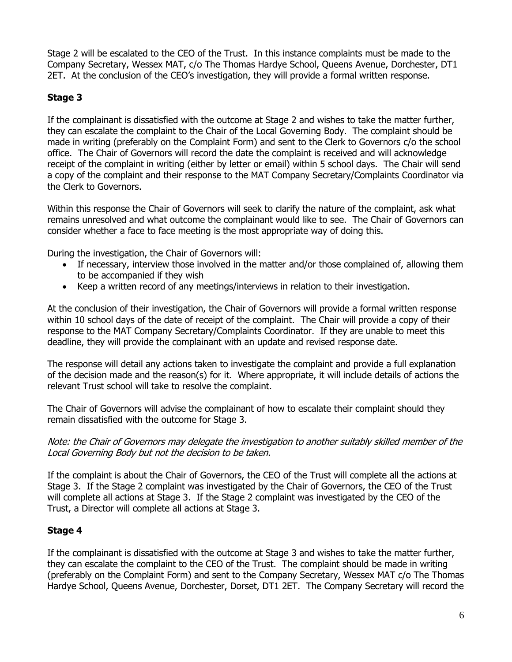Stage 2 will be escalated to the CEO of the Trust. In this instance complaints must be made to the Company Secretary, Wessex MAT, c/o The Thomas Hardye School, Queens Avenue, Dorchester, DT1 2ET. At the conclusion of the CEO's investigation, they will provide a formal written response.

# **Stage 3**

If the complainant is dissatisfied with the outcome at Stage 2 and wishes to take the matter further, they can escalate the complaint to the Chair of the Local Governing Body. The complaint should be made in writing (preferably on the Complaint Form) and sent to the Clerk to Governors c/o the school office. The Chair of Governors will record the date the complaint is received and will acknowledge receipt of the complaint in writing (either by letter or email) within 5 school days. The Chair will send a copy of the complaint and their response to the MAT Company Secretary/Complaints Coordinator via the Clerk to Governors.

Within this response the Chair of Governors will seek to clarify the nature of the complaint, ask what remains unresolved and what outcome the complainant would like to see. The Chair of Governors can consider whether a face to face meeting is the most appropriate way of doing this.

During the investigation, the Chair of Governors will:

- If necessary, interview those involved in the matter and/or those complained of, allowing them to be accompanied if they wish
- Keep a written record of any meetings/interviews in relation to their investigation.

At the conclusion of their investigation, the Chair of Governors will provide a formal written response within 10 school days of the date of receipt of the complaint. The Chair will provide a copy of their response to the MAT Company Secretary/Complaints Coordinator. If they are unable to meet this deadline, they will provide the complainant with an update and revised response date.

The response will detail any actions taken to investigate the complaint and provide a full explanation of the decision made and the reason(s) for it. Where appropriate, it will include details of actions the relevant Trust school will take to resolve the complaint.

The Chair of Governors will advise the complainant of how to escalate their complaint should they remain dissatisfied with the outcome for Stage 3.

Note: the Chair of Governors may delegate the investigation to another suitably skilled member of the Local Governing Body but not the decision to be taken.

If the complaint is about the Chair of Governors, the CEO of the Trust will complete all the actions at Stage 3. If the Stage 2 complaint was investigated by the Chair of Governors, the CEO of the Trust will complete all actions at Stage 3. If the Stage 2 complaint was investigated by the CEO of the Trust, a Director will complete all actions at Stage 3.

## **Stage 4**

If the complainant is dissatisfied with the outcome at Stage 3 and wishes to take the matter further, they can escalate the complaint to the CEO of the Trust. The complaint should be made in writing (preferably on the Complaint Form) and sent to the Company Secretary, Wessex MAT c/o The Thomas Hardye School, Queens Avenue, Dorchester, Dorset, DT1 2ET. The Company Secretary will record the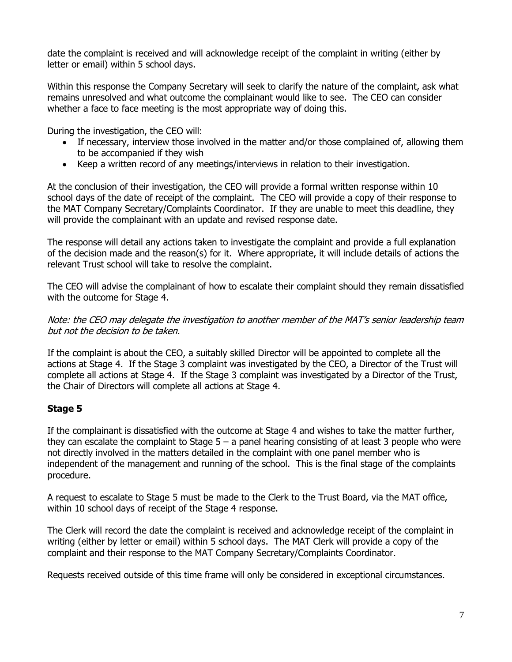date the complaint is received and will acknowledge receipt of the complaint in writing (either by letter or email) within 5 school days.

Within this response the Company Secretary will seek to clarify the nature of the complaint, ask what remains unresolved and what outcome the complainant would like to see. The CEO can consider whether a face to face meeting is the most appropriate way of doing this.

During the investigation, the CEO will:

- If necessary, interview those involved in the matter and/or those complained of, allowing them to be accompanied if they wish
- Keep a written record of any meetings/interviews in relation to their investigation.

At the conclusion of their investigation, the CEO will provide a formal written response within 10 school days of the date of receipt of the complaint. The CEO will provide a copy of their response to the MAT Company Secretary/Complaints Coordinator. If they are unable to meet this deadline, they will provide the complainant with an update and revised response date.

The response will detail any actions taken to investigate the complaint and provide a full explanation of the decision made and the reason(s) for it. Where appropriate, it will include details of actions the relevant Trust school will take to resolve the complaint.

The CEO will advise the complainant of how to escalate their complaint should they remain dissatisfied with the outcome for Stage 4.

Note: the CEO may delegate the investigation to another member of the MAT's senior leadership team but not the decision to be taken.

If the complaint is about the CEO, a suitably skilled Director will be appointed to complete all the actions at Stage 4. If the Stage 3 complaint was investigated by the CEO, a Director of the Trust will complete all actions at Stage 4. If the Stage 3 complaint was investigated by a Director of the Trust, the Chair of Directors will complete all actions at Stage 4.

## **Stage 5**

If the complainant is dissatisfied with the outcome at Stage 4 and wishes to take the matter further, they can escalate the complaint to Stage  $5 - a$  panel hearing consisting of at least 3 people who were not directly involved in the matters detailed in the complaint with one panel member who is independent of the management and running of the school. This is the final stage of the complaints procedure.

A request to escalate to Stage 5 must be made to the Clerk to the Trust Board, via the MAT office, within 10 school days of receipt of the Stage 4 response.

The Clerk will record the date the complaint is received and acknowledge receipt of the complaint in writing (either by letter or email) within 5 school days. The MAT Clerk will provide a copy of the complaint and their response to the MAT Company Secretary/Complaints Coordinator.

Requests received outside of this time frame will only be considered in exceptional circumstances.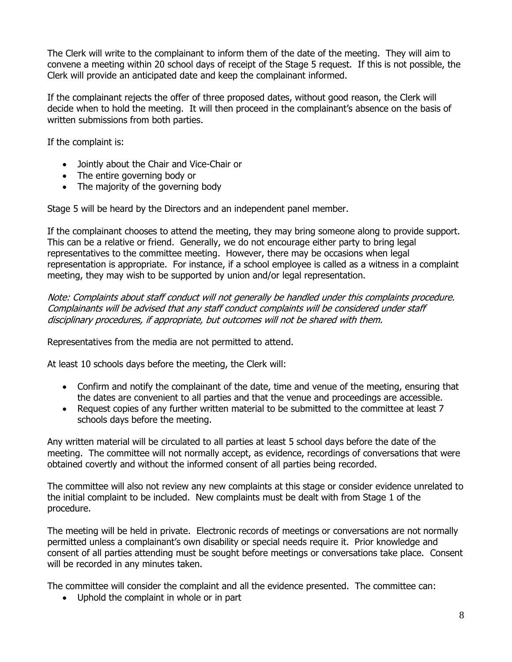The Clerk will write to the complainant to inform them of the date of the meeting. They will aim to convene a meeting within 20 school days of receipt of the Stage 5 request. If this is not possible, the Clerk will provide an anticipated date and keep the complainant informed.

If the complainant rejects the offer of three proposed dates, without good reason, the Clerk will decide when to hold the meeting. It will then proceed in the complainant's absence on the basis of written submissions from both parties.

If the complaint is:

- Jointly about the Chair and Vice-Chair or
- The entire governing body or
- The majority of the governing body

Stage 5 will be heard by the Directors and an independent panel member.

If the complainant chooses to attend the meeting, they may bring someone along to provide support. This can be a relative or friend. Generally, we do not encourage either party to bring legal representatives to the committee meeting. However, there may be occasions when legal representation is appropriate. For instance, if a school employee is called as a witness in a complaint meeting, they may wish to be supported by union and/or legal representation.

Note: Complaints about staff conduct will not generally be handled under this complaints procedure. Complainants will be advised that any staff conduct complaints will be considered under staff disciplinary procedures, if appropriate, but outcomes will not be shared with them.

Representatives from the media are not permitted to attend.

At least 10 schools days before the meeting, the Clerk will:

- Confirm and notify the complainant of the date, time and venue of the meeting, ensuring that the dates are convenient to all parties and that the venue and proceedings are accessible.
- Request copies of any further written material to be submitted to the committee at least 7 schools days before the meeting.

Any written material will be circulated to all parties at least 5 school days before the date of the meeting. The committee will not normally accept, as evidence, recordings of conversations that were obtained covertly and without the informed consent of all parties being recorded.

The committee will also not review any new complaints at this stage or consider evidence unrelated to the initial complaint to be included. New complaints must be dealt with from Stage 1 of the procedure.

The meeting will be held in private. Electronic records of meetings or conversations are not normally permitted unless a complainant's own disability or special needs require it. Prior knowledge and consent of all parties attending must be sought before meetings or conversations take place. Consent will be recorded in any minutes taken.

The committee will consider the complaint and all the evidence presented. The committee can:

Uphold the complaint in whole or in part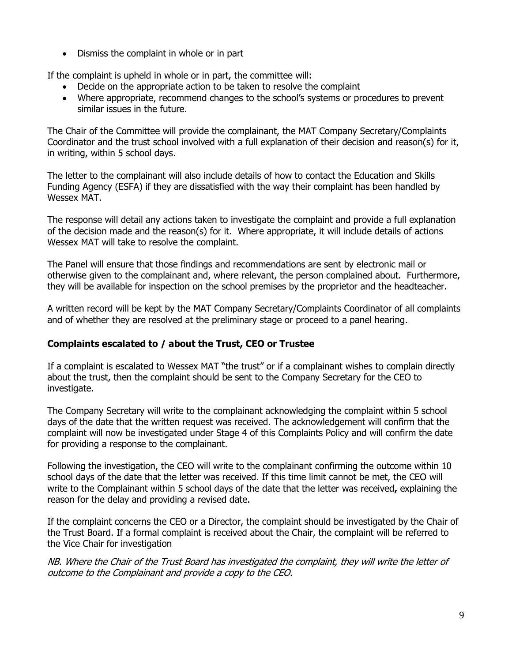Dismiss the complaint in whole or in part

If the complaint is upheld in whole or in part, the committee will:

- Decide on the appropriate action to be taken to resolve the complaint
- Where appropriate, recommend changes to the school's systems or procedures to prevent similar issues in the future.

The Chair of the Committee will provide the complainant, the MAT Company Secretary/Complaints Coordinator and the trust school involved with a full explanation of their decision and reason(s) for it, in writing, within 5 school days.

The letter to the complainant will also include details of how to contact the Education and Skills Funding Agency (ESFA) if they are dissatisfied with the way their complaint has been handled by Wessex MAT.

The response will detail any actions taken to investigate the complaint and provide a full explanation of the decision made and the reason(s) for it. Where appropriate, it will include details of actions Wessex MAT will take to resolve the complaint.

The Panel will ensure that those findings and recommendations are sent by electronic mail or otherwise given to the complainant and, where relevant, the person complained about. Furthermore, they will be available for inspection on the school premises by the proprietor and the headteacher.

A written record will be kept by the MAT Company Secretary/Complaints Coordinator of all complaints and of whether they are resolved at the preliminary stage or proceed to a panel hearing.

#### **Complaints escalated to / about the Trust, CEO or Trustee**

If a complaint is escalated to Wessex MAT "the trust" or if a complainant wishes to complain directly about the trust, then the complaint should be sent to the Company Secretary for the CEO to investigate.

The Company Secretary will write to the complainant acknowledging the complaint within 5 school days of the date that the written request was received. The acknowledgement will confirm that the complaint will now be investigated under Stage 4 of this Complaints Policy and will confirm the date for providing a response to the complainant.

Following the investigation, the CEO will write to the complainant confirming the outcome within 10 school days of the date that the letter was received. If this time limit cannot be met, the CEO will write to the Complainant within 5 school days of the date that the letter was received**,** explaining the reason for the delay and providing a revised date.

If the complaint concerns the CEO or a Director, the complaint should be investigated by the Chair of the Trust Board. If a formal complaint is received about the Chair, the complaint will be referred to the Vice Chair for investigation

NB. Where the Chair of the Trust Board has investigated the complaint, they will write the letter of outcome to the Complainant and provide a copy to the CEO.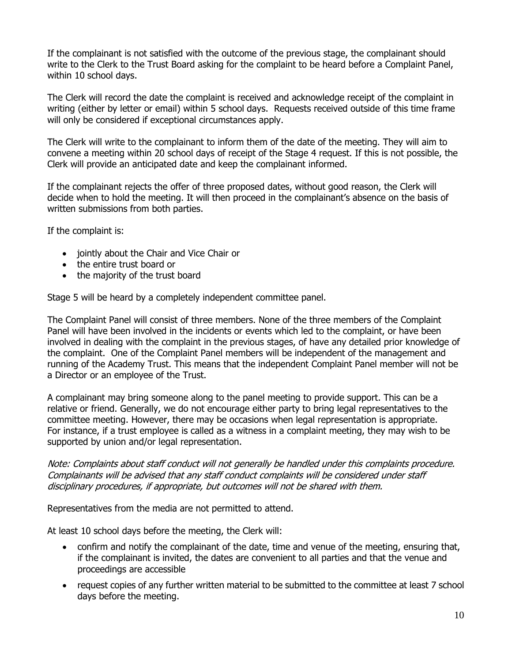If the complainant is not satisfied with the outcome of the previous stage, the complainant should write to the Clerk to the Trust Board asking for the complaint to be heard before a Complaint Panel, within 10 school days.

The Clerk will record the date the complaint is received and acknowledge receipt of the complaint in writing (either by letter or email) within 5 school days. Requests received outside of this time frame will only be considered if exceptional circumstances apply.

The Clerk will write to the complainant to inform them of the date of the meeting. They will aim to convene a meeting within 20 school days of receipt of the Stage 4 request. If this is not possible, the Clerk will provide an anticipated date and keep the complainant informed.

If the complainant rejects the offer of three proposed dates, without good reason, the Clerk will decide when to hold the meeting. It will then proceed in the complainant's absence on the basis of written submissions from both parties.

If the complaint is:

- jointly about the Chair and Vice Chair or
- the entire trust board or
- the majority of the trust board

Stage 5 will be heard by a completely independent committee panel.

The Complaint Panel will consist of three members. None of the three members of the Complaint Panel will have been involved in the incidents or events which led to the complaint, or have been involved in dealing with the complaint in the previous stages, of have any detailed prior knowledge of the complaint. One of the Complaint Panel members will be independent of the management and running of the Academy Trust. This means that the independent Complaint Panel member will not be a Director or an employee of the Trust.

A complainant may bring someone along to the panel meeting to provide support. This can be a relative or friend. Generally, we do not encourage either party to bring legal representatives to the committee meeting. However, there may be occasions when legal representation is appropriate. For instance, if a trust employee is called as a witness in a complaint meeting, they may wish to be supported by union and/or legal representation.

Note: Complaints about staff conduct will not generally be handled under this complaints procedure. Complainants will be advised that any staff conduct complaints will be considered under staff disciplinary procedures, if appropriate, but outcomes will not be shared with them.

Representatives from the media are not permitted to attend.

At least 10 school days before the meeting, the Clerk will:

- confirm and notify the complainant of the date, time and venue of the meeting, ensuring that, if the complainant is invited, the dates are convenient to all parties and that the venue and proceedings are accessible
- request copies of any further written material to be submitted to the committee at least 7 school days before the meeting.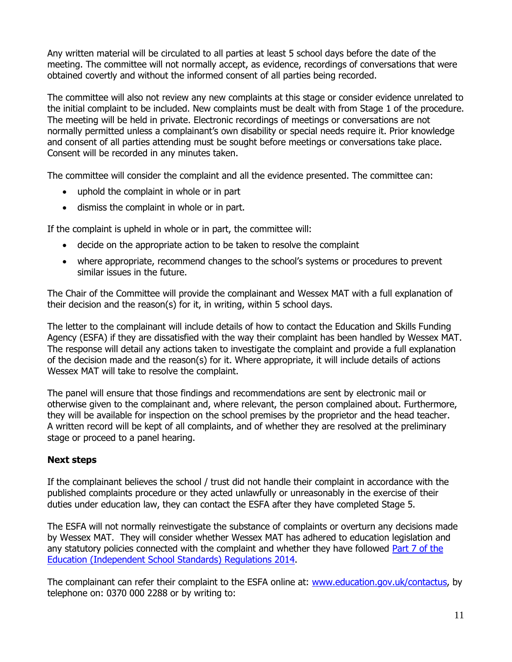Any written material will be circulated to all parties at least 5 school days before the date of the meeting. The committee will not normally accept, as evidence, recordings of conversations that were obtained covertly and without the informed consent of all parties being recorded.

The committee will also not review any new complaints at this stage or consider evidence unrelated to the initial complaint to be included. New complaints must be dealt with from Stage 1 of the procedure. The meeting will be held in private. Electronic recordings of meetings or conversations are not normally permitted unless a complainant's own disability or special needs require it. Prior knowledge and consent of all parties attending must be sought before meetings or conversations take place. Consent will be recorded in any minutes taken.

The committee will consider the complaint and all the evidence presented. The committee can:

- uphold the complaint in whole or in part
- dismiss the complaint in whole or in part.

If the complaint is upheld in whole or in part, the committee will:

- decide on the appropriate action to be taken to resolve the complaint
- where appropriate, recommend changes to the school's systems or procedures to prevent similar issues in the future.

The Chair of the Committee will provide the complainant and Wessex MAT with a full explanation of their decision and the reason(s) for it, in writing, within 5 school days.

The letter to the complainant will include details of how to contact the Education and Skills Funding Agency (ESFA) if they are dissatisfied with the way their complaint has been handled by Wessex MAT. The response will detail any actions taken to investigate the complaint and provide a full explanation of the decision made and the reason(s) for it. Where appropriate, it will include details of actions Wessex MAT will take to resolve the complaint.

The panel will ensure that those findings and recommendations are sent by electronic mail or otherwise given to the complainant and, where relevant, the person complained about. Furthermore, they will be available for inspection on the school premises by the proprietor and the head teacher. A written record will be kept of all complaints, and of whether they are resolved at the preliminary stage or proceed to a panel hearing.

#### **Next steps**

If the complainant believes the school / trust did not handle their complaint in accordance with the published complaints procedure or they acted unlawfully or unreasonably in the exercise of their duties under education law, they can contact the ESFA after they have completed Stage 5.

The ESFA will not normally reinvestigate the substance of complaints or overturn any decisions made by Wessex MAT. They will consider whether Wessex MAT has adhered to education legislation and any statutory policies connected with the complaint and whether they have followed [Part 7 of the](http://www.legislation.gov.uk/uksi/2010/1997/schedule/1/made)  [Education \(Independent School Standards\) Regulations 2014.](http://www.legislation.gov.uk/uksi/2010/1997/schedule/1/made)

The complainant can refer their complaint to the ESFA online at: [www.education.gov.uk/contactus,](http://www.education.gov.uk/contactus) by telephone on: 0370 000 2288 or by writing to: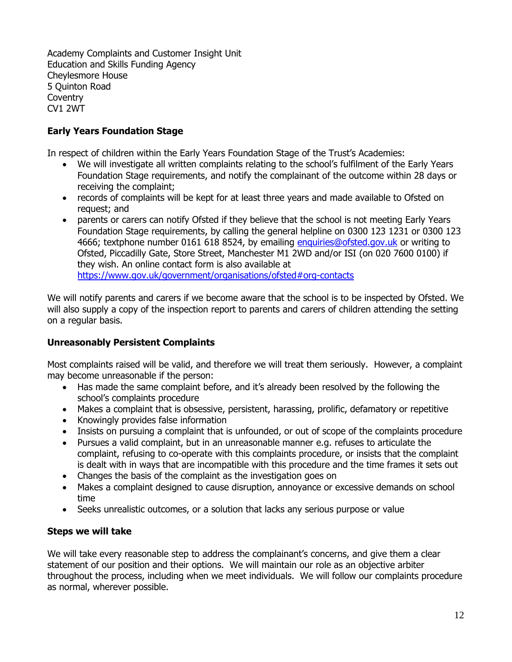Academy Complaints and Customer Insight Unit Education and Skills Funding Agency Cheylesmore House 5 Quinton Road **Coventry** CV1 2WT

## **Early Years Foundation Stage**

In respect of children within the Early Years Foundation Stage of the Trust's Academies:

- We will investigate all written complaints relating to the school's fulfilment of the Early Years Foundation Stage requirements, and notify the complainant of the outcome within 28 days or receiving the complaint;
- records of complaints will be kept for at least three years and made available to Ofsted on request; and
- parents or carers can notify Ofsted if they believe that the school is not meeting Early Years Foundation Stage requirements, by calling the general helpline on 0300 123 1231 or 0300 123 4666; textphone number 0161 618 8524, by emailing [enquiries@ofsted.gov.uk](mailto:enquiries@ofsted.gov.uk) or writing to Ofsted, Piccadilly Gate, Store Street, Manchester M1 2WD and/or ISI (on 020 7600 0100) if they wish. An online contact form is also available at <https://www.gov.uk/government/organisations/ofsted#org-contacts>

We will notify parents and carers if we become aware that the school is to be inspected by Ofsted. We will also supply a copy of the inspection report to parents and carers of children attending the setting on a regular basis.

#### **Unreasonably Persistent Complaints**

Most complaints raised will be valid, and therefore we will treat them seriously. However, a complaint may become unreasonable if the person:

- Has made the same complaint before, and it's already been resolved by the following the school's complaints procedure
- Makes a complaint that is obsessive, persistent, harassing, prolific, defamatory or repetitive
- Knowingly provides false information
- Insists on pursuing a complaint that is unfounded, or out of scope of the complaints procedure
- Pursues a valid complaint, but in an unreasonable manner e.g. refuses to articulate the complaint, refusing to co-operate with this complaints procedure, or insists that the complaint is dealt with in ways that are incompatible with this procedure and the time frames it sets out
- Changes the basis of the complaint as the investigation goes on
- Makes a complaint designed to cause disruption, annoyance or excessive demands on school time
- Seeks unrealistic outcomes, or a solution that lacks any serious purpose or value

#### **Steps we will take**

We will take every reasonable step to address the complainant's concerns, and give them a clear statement of our position and their options. We will maintain our role as an objective arbiter throughout the process, including when we meet individuals. We will follow our complaints procedure as normal, wherever possible.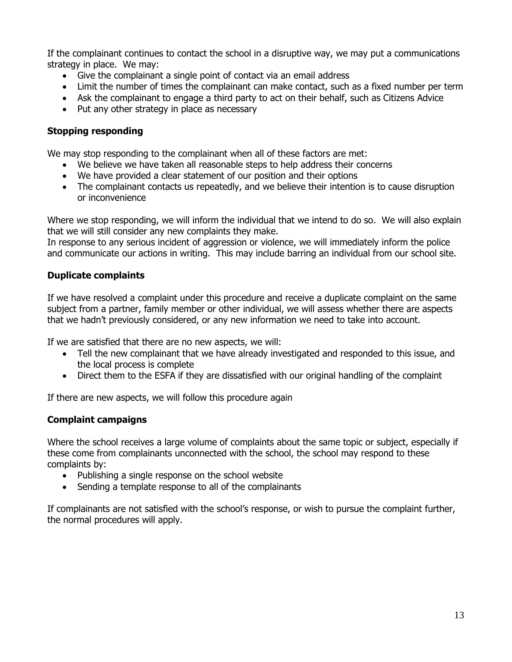If the complainant continues to contact the school in a disruptive way, we may put a communications strategy in place. We may:

- Give the complainant a single point of contact via an email address
- Limit the number of times the complainant can make contact, such as a fixed number per term
- Ask the complainant to engage a third party to act on their behalf, such as Citizens Advice
- Put any other strategy in place as necessary

## **Stopping responding**

We may stop responding to the complainant when all of these factors are met:

- We believe we have taken all reasonable steps to help address their concerns
- We have provided a clear statement of our position and their options
- The complainant contacts us repeatedly, and we believe their intention is to cause disruption or inconvenience

Where we stop responding, we will inform the individual that we intend to do so. We will also explain that we will still consider any new complaints they make.

In response to any serious incident of aggression or violence, we will immediately inform the police and communicate our actions in writing. This may include barring an individual from our school site.

## **Duplicate complaints**

If we have resolved a complaint under this procedure and receive a duplicate complaint on the same subject from a partner, family member or other individual, we will assess whether there are aspects that we hadn't previously considered, or any new information we need to take into account.

If we are satisfied that there are no new aspects, we will:

- Tell the new complainant that we have already investigated and responded to this issue, and the local process is complete
- Direct them to the ESFA if they are dissatisfied with our original handling of the complaint

If there are new aspects, we will follow this procedure again

#### **Complaint campaigns**

Where the school receives a large volume of complaints about the same topic or subject, especially if these come from complainants unconnected with the school, the school may respond to these complaints by:

- Publishing a single response on the school website
- Sending a template response to all of the complainants

If complainants are not satisfied with the school's response, or wish to pursue the complaint further, the normal procedures will apply.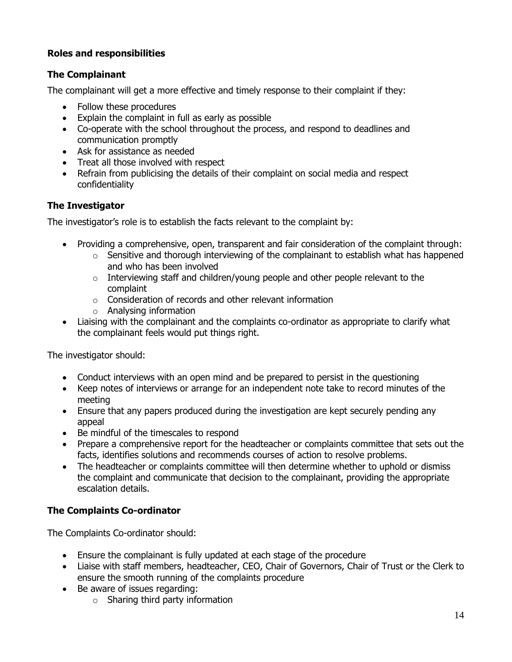## **Roles and responsibilities**

## **The Complainant**

The complainant will get a more effective and timely response to their complaint if they:

- Follow these procedures
- Explain the complaint in full as early as possible
- Co-operate with the school throughout the process, and respond to deadlines and communication promptly
- Ask for assistance as needed
- Treat all those involved with respect
- Refrain from publicising the details of their complaint on social media and respect confidentiality

#### **The Investigator**

The investigator's role is to establish the facts relevant to the complaint by:

- Providing a comprehensive, open, transparent and fair consideration of the complaint through:
	- $\circ$  Sensitive and thorough interviewing of the complainant to establish what has happened and who has been involved
	- $\circ$  Interviewing staff and children/young people and other people relevant to the complaint
	- $\circ$  Consideration of records and other relevant information
	- o Analysing information
- Liaising with the complainant and the complaints co-ordinator as appropriate to clarify what the complainant feels would put things right.

The investigator should:

- Conduct interviews with an open mind and be prepared to persist in the questioning
- Keep notes of interviews or arrange for an independent note take to record minutes of the meeting
- Ensure that any papers produced during the investigation are kept securely pending any appeal
- Be mindful of the timescales to respond
- Prepare a comprehensive report for the headteacher or complaints committee that sets out the facts, identifies solutions and recommends courses of action to resolve problems.
- The headteacher or complaints committee will then determine whether to uphold or dismiss the complaint and communicate that decision to the complainant, providing the appropriate escalation details.

#### **The Complaints Co-ordinator**

The Complaints Co-ordinator should:

- Ensure the complainant is fully updated at each stage of the procedure
- Liaise with staff members, headteacher, CEO, Chair of Governors, Chair of Trust or the Clerk to ensure the smooth running of the complaints procedure
- Be aware of issues regarding:
	- $\circ$  Sharing third party information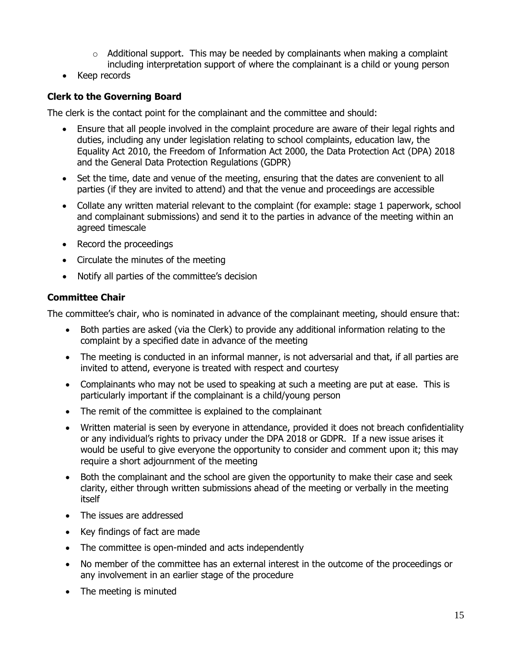- $\circ$  Additional support. This may be needed by complainants when making a complaint including interpretation support of where the complainant is a child or young person
- Keep records

## **Clerk to the Governing Board**

The clerk is the contact point for the complainant and the committee and should:

- Ensure that all people involved in the complaint procedure are aware of their legal rights and duties, including any under legislation relating to school complaints, education law, the Equality Act 2010, the Freedom of Information Act 2000, the Data Protection Act (DPA) 2018 and the General Data Protection Regulations (GDPR)
- Set the time, date and venue of the meeting, ensuring that the dates are convenient to all parties (if they are invited to attend) and that the venue and proceedings are accessible
- Collate any written material relevant to the complaint (for example: stage 1 paperwork, school and complainant submissions) and send it to the parties in advance of the meeting within an agreed timescale
- Record the proceedings
- Circulate the minutes of the meeting
- Notify all parties of the committee's decision

## **Committee Chair**

The committee's chair, who is nominated in advance of the complainant meeting, should ensure that:

- Both parties are asked (via the Clerk) to provide any additional information relating to the complaint by a specified date in advance of the meeting
- The meeting is conducted in an informal manner, is not adversarial and that, if all parties are invited to attend, everyone is treated with respect and courtesy
- Complainants who may not be used to speaking at such a meeting are put at ease. This is particularly important if the complainant is a child/young person
- The remit of the committee is explained to the complainant
- Written material is seen by everyone in attendance, provided it does not breach confidentiality or any individual's rights to privacy under the DPA 2018 or GDPR. If a new issue arises it would be useful to give everyone the opportunity to consider and comment upon it; this may require a short adjournment of the meeting
- Both the complainant and the school are given the opportunity to make their case and seek clarity, either through written submissions ahead of the meeting or verbally in the meeting itself
- The issues are addressed
- Key findings of fact are made
- The committee is open-minded and acts independently
- No member of the committee has an external interest in the outcome of the proceedings or any involvement in an earlier stage of the procedure
- The meeting is minuted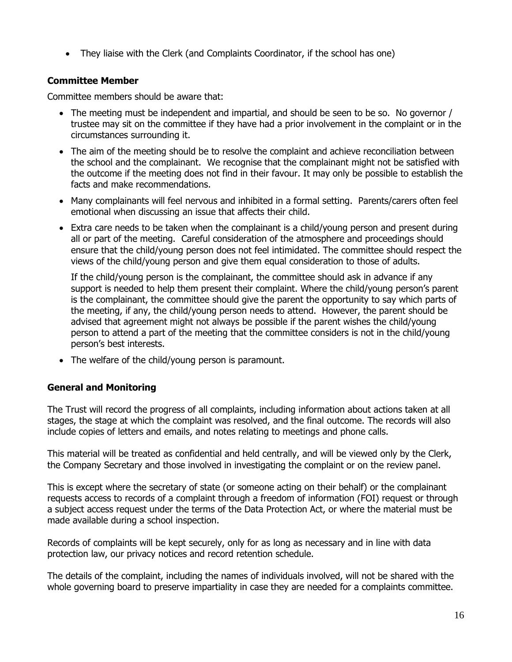They liaise with the Clerk (and Complaints Coordinator, if the school has one)

## **Committee Member**

Committee members should be aware that:

- The meeting must be independent and impartial, and should be seen to be so. No governor / trustee may sit on the committee if they have had a prior involvement in the complaint or in the circumstances surrounding it.
- The aim of the meeting should be to resolve the complaint and achieve reconciliation between the school and the complainant. We recognise that the complainant might not be satisfied with the outcome if the meeting does not find in their favour. It may only be possible to establish the facts and make recommendations.
- Many complainants will feel nervous and inhibited in a formal setting. Parents/carers often feel emotional when discussing an issue that affects their child.
- Extra care needs to be taken when the complainant is a child/young person and present during all or part of the meeting. Careful consideration of the atmosphere and proceedings should ensure that the child/young person does not feel intimidated. The committee should respect the views of the child/young person and give them equal consideration to those of adults.

If the child/young person is the complainant, the committee should ask in advance if any support is needed to help them present their complaint. Where the child/young person's parent is the complainant, the committee should give the parent the opportunity to say which parts of the meeting, if any, the child/young person needs to attend. However, the parent should be advised that agreement might not always be possible if the parent wishes the child/young person to attend a part of the meeting that the committee considers is not in the child/young person's best interests.

• The welfare of the child/young person is paramount.

#### **General and Monitoring**

The Trust will record the progress of all complaints, including information about actions taken at all stages, the stage at which the complaint was resolved, and the final outcome. The records will also include copies of letters and emails, and notes relating to meetings and phone calls.

This material will be treated as confidential and held centrally, and will be viewed only by the Clerk, the Company Secretary and those involved in investigating the complaint or on the review panel.

This is except where the secretary of state (or someone acting on their behalf) or the complainant requests access to records of a complaint through a freedom of information (FOI) request or through a subject access request under the terms of the Data Protection Act, or where the material must be made available during a school inspection.

Records of complaints will be kept securely, only for as long as necessary and in line with data protection law, our privacy notices and record retention schedule.

The details of the complaint, including the names of individuals involved, will not be shared with the whole governing board to preserve impartiality in case they are needed for a complaints committee.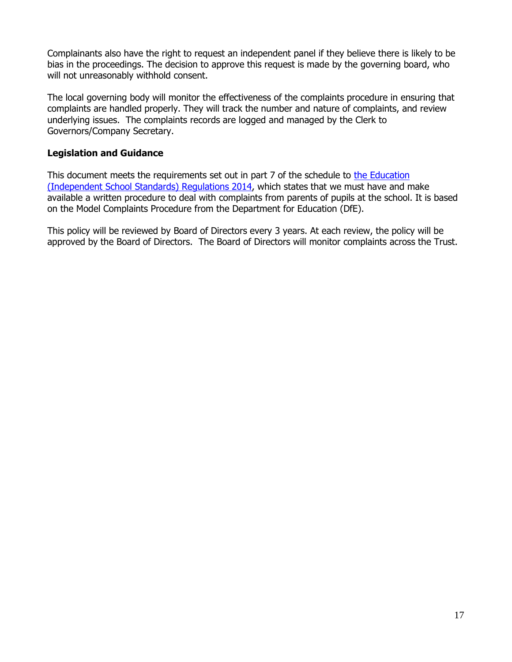Complainants also have the right to request an independent panel if they believe there is likely to be bias in the proceedings. The decision to approve this request is made by the governing board, who will not unreasonably withhold consent.

The local governing body will monitor the effectiveness of the complaints procedure in ensuring that complaints are handled properly. They will track the number and nature of complaints, and review underlying issues. The complaints records are logged and managed by the Clerk to Governors/Company Secretary.

#### **Legislation and Guidance**

This document meets the requirements set out in part 7 of the schedule to the Education [\(Independent School Standards\) Regulations 2014,](http://www.legislation.gov.uk/uksi/2014/3283/schedule/made) which states that we must have and make available a written procedure to deal with complaints from parents of pupils at the school. It is based on the Model Complaints Procedure from the Department for Education (DfE).

This policy will be reviewed by Board of Directors every 3 years. At each review, the policy will be approved by the Board of Directors. The Board of Directors will monitor complaints across the Trust.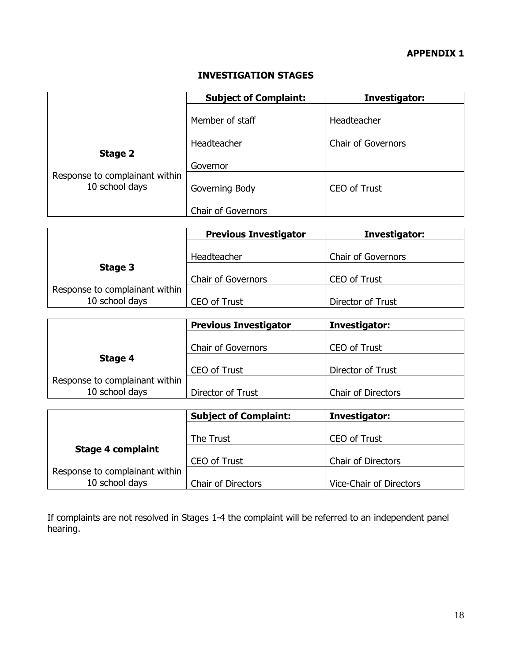# **INVESTIGATION STAGES**

|                                                             | <b>Subject of Complaint:</b> | Investigator:             |
|-------------------------------------------------------------|------------------------------|---------------------------|
|                                                             | Member of staff              | Headteacher               |
| Stage 2<br>Response to complainant within<br>10 school days | Headteacher                  | <b>Chair of Governors</b> |
|                                                             | Governor                     |                           |
|                                                             | Governing Body               | <b>CEO of Trust</b>       |
|                                                             | <b>Chair of Governors</b>    |                           |

|                                | <b>Previous Investigator</b> | Investigator:             |
|--------------------------------|------------------------------|---------------------------|
|                                |                              |                           |
|                                | Headteacher                  | <b>Chair of Governors</b> |
| Stage 3                        |                              |                           |
|                                | <b>Chair of Governors</b>    | <b>CEO of Trust</b>       |
| Response to complainant within |                              |                           |
| 10 school days                 | <b>CEO of Trust</b>          | Director of Trust         |

|                                | <b>Previous Investigator</b> | Investigator:             |
|--------------------------------|------------------------------|---------------------------|
|                                | <b>Chair of Governors</b>    | <b>CEO of Trust</b>       |
| Stage 4                        |                              |                           |
|                                | <b>CEO of Trust</b>          | Director of Trust         |
| Response to complainant within |                              |                           |
| 10 school days                 | Director of Trust            | <b>Chair of Directors</b> |

|                                | <b>Subject of Complaint:</b> | Investigator:             |
|--------------------------------|------------------------------|---------------------------|
|                                |                              |                           |
|                                | The Trust                    | <b>CEO of Trust</b>       |
| <b>Stage 4 complaint</b>       |                              |                           |
|                                | CEO of Trust                 | <b>Chair of Directors</b> |
| Response to complainant within |                              |                           |
| 10 school days                 | <b>Chair of Directors</b>    | Vice-Chair of Directors   |

If complaints are not resolved in Stages 1-4 the complaint will be referred to an independent panel hearing.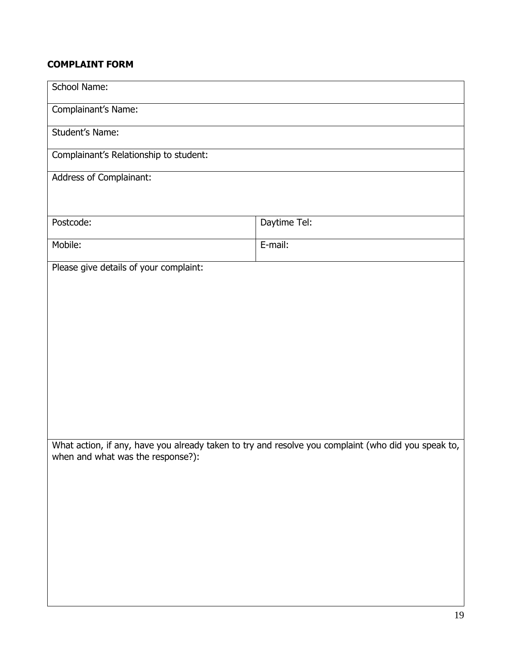## **COMPLAINT FORM**

| School Name:                           |                                                                                                     |  |
|----------------------------------------|-----------------------------------------------------------------------------------------------------|--|
| Complainant's Name:                    |                                                                                                     |  |
|                                        |                                                                                                     |  |
| Student's Name:                        |                                                                                                     |  |
| Complainant's Relationship to student: |                                                                                                     |  |
| Address of Complainant:                |                                                                                                     |  |
|                                        |                                                                                                     |  |
|                                        |                                                                                                     |  |
| Postcode:                              | Daytime Tel:                                                                                        |  |
| Mobile:                                | E-mail:                                                                                             |  |
| Please give details of your complaint: |                                                                                                     |  |
|                                        |                                                                                                     |  |
|                                        |                                                                                                     |  |
|                                        |                                                                                                     |  |
|                                        |                                                                                                     |  |
|                                        |                                                                                                     |  |
|                                        |                                                                                                     |  |
|                                        |                                                                                                     |  |
|                                        |                                                                                                     |  |
|                                        |                                                                                                     |  |
|                                        |                                                                                                     |  |
|                                        | What action, if any, have you already taken to try and resolve you complaint (who did you speak to, |  |
| when and what was the response?):      |                                                                                                     |  |
|                                        |                                                                                                     |  |
|                                        |                                                                                                     |  |
|                                        |                                                                                                     |  |
|                                        |                                                                                                     |  |
|                                        |                                                                                                     |  |
|                                        |                                                                                                     |  |
|                                        |                                                                                                     |  |
|                                        |                                                                                                     |  |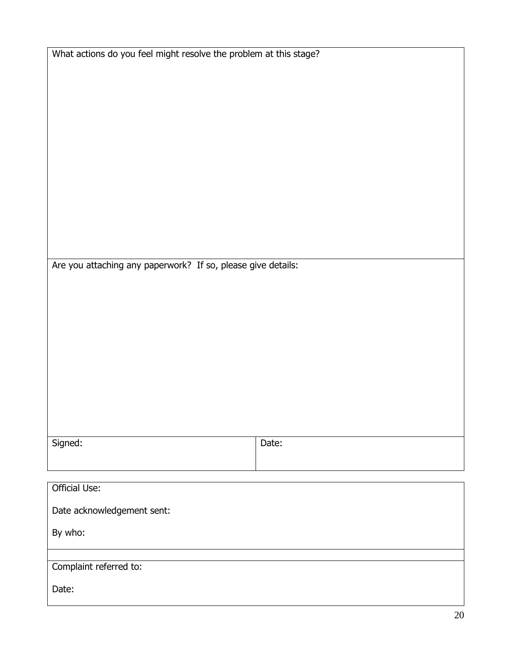| What actions do you feel might resolve the problem at this stage? |       |
|-------------------------------------------------------------------|-------|
|                                                                   |       |
| Are you attaching any paperwork? If so, please give details:      |       |
|                                                                   |       |
| Signed:                                                           | Date: |
| <b>Official Use:</b>                                              |       |
| Date acknowledgement sent:                                        |       |
| By who:                                                           |       |
| Complaint referred to:                                            |       |
| Date:                                                             |       |

⅂